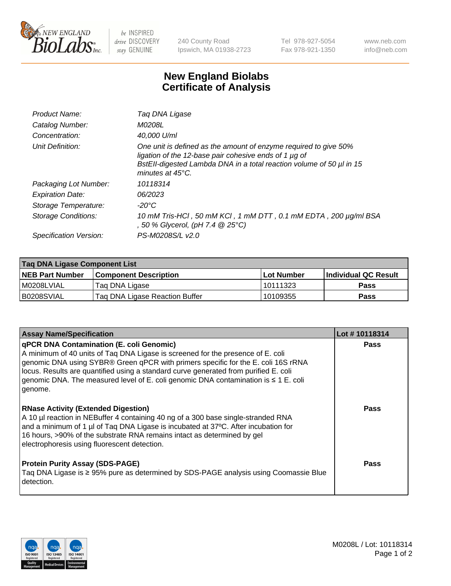

 $be$  INSPIRED drive DISCOVERY stay GENUINE

240 County Road Ipswich, MA 01938-2723 Tel 978-927-5054 Fax 978-921-1350 www.neb.com info@neb.com

## **New England Biolabs Certificate of Analysis**

| Product Name:              | Tag DNA Ligase                                                                                                                                                                                                                  |
|----------------------------|---------------------------------------------------------------------------------------------------------------------------------------------------------------------------------------------------------------------------------|
| Catalog Number:            | M0208L                                                                                                                                                                                                                          |
| Concentration:             | 40.000 U/ml                                                                                                                                                                                                                     |
| Unit Definition:           | One unit is defined as the amount of enzyme required to give 50%<br>ligation of the 12-base pair cohesive ends of 1 µg of<br>BstEll-digested Lambda DNA in a total reaction volume of 50 µl in 15<br>minutes at $45^{\circ}$ C. |
| Packaging Lot Number:      | 10118314                                                                                                                                                                                                                        |
| <b>Expiration Date:</b>    | 06/2023                                                                                                                                                                                                                         |
| Storage Temperature:       | $-20^{\circ}$ C                                                                                                                                                                                                                 |
| <b>Storage Conditions:</b> | 10 mM Tris-HCl, 50 mM KCl, 1 mM DTT, 0.1 mM EDTA, 200 µg/ml BSA<br>, 50 % Glycerol, (pH 7.4 $@25°C$ )                                                                                                                           |
| Specification Version:     | PS-M0208S/L v2.0                                                                                                                                                                                                                |

| Taq DNA Ligase Component List |                                |            |                      |  |
|-------------------------------|--------------------------------|------------|----------------------|--|
| <b>NEB Part Number</b>        | <b>Component Description</b>   | Lot Number | Individual QC Result |  |
| M0208LVIAL                    | Tag DNA Ligase                 | 10111323   | <b>Pass</b>          |  |
| B0208SVIAL                    | Taq DNA Ligase Reaction Buffer | 10109355   | Pass                 |  |

| <b>Assay Name/Specification</b>                                                                                                                                                                                                                                                                                                                                                                            | Lot #10118314 |
|------------------------------------------------------------------------------------------------------------------------------------------------------------------------------------------------------------------------------------------------------------------------------------------------------------------------------------------------------------------------------------------------------------|---------------|
| qPCR DNA Contamination (E. coli Genomic)<br>A minimum of 40 units of Taq DNA Ligase is screened for the presence of E. coli<br>genomic DNA using SYBR® Green qPCR with primers specific for the E. coli 16S rRNA<br>locus. Results are quantified using a standard curve generated from purified E. coli<br>genomic DNA. The measured level of E. coli genomic DNA contamination is ≤ 1 E. coli<br>genome. | <b>Pass</b>   |
| <b>RNase Activity (Extended Digestion)</b><br>A 10 µl reaction in NEBuffer 4 containing 40 ng of a 300 base single-stranded RNA<br>and a minimum of 1 µl of Taq DNA Ligase is incubated at 37°C. After incubation for<br>16 hours, >90% of the substrate RNA remains intact as determined by gel<br>electrophoresis using fluorescent detection.                                                           | Pass          |
| <b>Protein Purity Assay (SDS-PAGE)</b><br>Taq DNA Ligase is ≥ 95% pure as determined by SDS-PAGE analysis using Coomassie Blue<br>detection.                                                                                                                                                                                                                                                               | Pass          |